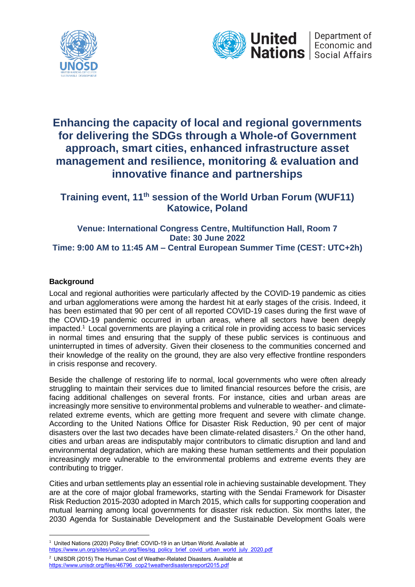



# **Enhancing the capacity of local and regional governments for delivering the SDGs through a Whole-of Government approach, smart cities, enhanced infrastructure asset management and resilience, monitoring & evaluation and innovative finance and partnerships**

**Training event, 11th session of the World Urban Forum (WUF11) Katowice, Poland**

**Venue: International Congress Centre, Multifunction Hall, Room 7 Date: 30 June 2022 Time: 9:00 AM to 11:45 AM – Central European Summer Time (CEST: UTC+2h)**

# **Background**

Local and regional authorities were particularly affected by the COVID-19 pandemic as cities and urban agglomerations were among the hardest hit at early stages of the crisis. Indeed, it has been estimated that 90 per cent of all reported COVID-19 cases during the first wave of the COVID-19 pandemic occurred in urban areas, where all sectors have been deeply impacted.<sup>1</sup> Local governments are playing a critical role in providing access to basic services in normal times and ensuring that the supply of these public services is continuous and uninterrupted in times of adversity. Given their closeness to the communities concerned and their knowledge of the reality on the ground, they are also very effective frontline responders in crisis response and recovery.

Beside the challenge of restoring life to normal, local governments who were often already struggling to maintain their services due to limited financial resources before the crisis, are facing additional challenges on several fronts. For instance, cities and urban areas are increasingly more sensitive to environmental problems and vulnerable to weather- and climaterelated extreme events, which are getting more frequent and severe with climate change. According to the United Nations Office for Disaster Risk Reduction, 90 per cent of major disasters over the last two decades have been climate-related disasters.<sup>2</sup> On the other hand, cities and urban areas are indisputably major contributors to climatic disruption and land and environmental degradation, which are making these human settlements and their population increasingly more vulnerable to the environmental problems and extreme events they are contributing to trigger.

Cities and urban settlements play an essential role in achieving sustainable development. They are at the core of major global frameworks, starting with the Sendai Framework for Disaster Risk Reduction 2015-2030 adopted in March 2015, which calls for supporting cooperation and mutual learning among local governments for disaster risk reduction. Six months later, the 2030 Agenda for Sustainable Development and the Sustainable Development Goals were

<sup>&</sup>lt;sup>1</sup> United Nations (2020) Policy Brief: COVID-19 in an Urban World. Available at [https://www.un.org/sites/un2.un.org/files/sg\\_policy\\_brief\\_covid\\_urban\\_world\\_july\\_2020.pdf](https://www.un.org/sites/un2.un.org/files/sg_policy_brief_covid_urban_world_july_2020.pdf)

<sup>2</sup> UNISDR (2015) The Human Cost of Weather-Related Disasters. Available at [https://www.unisdr.org/files/46796\\_cop21weatherdisastersreport2015.pdf](https://www.unisdr.org/files/46796_cop21weatherdisastersreport2015.pdf)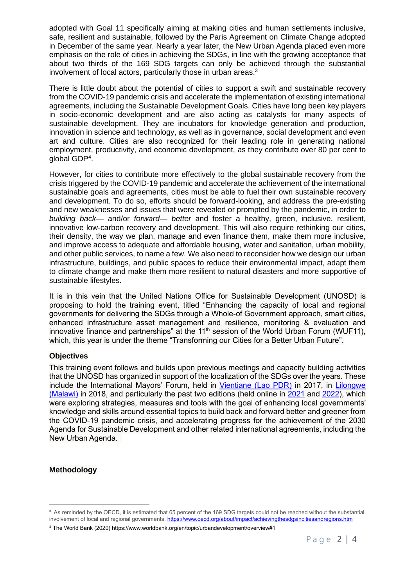adopted with Goal 11 specifically aiming at making cities and human settlements inclusive, safe, resilient and sustainable, followed by the Paris Agreement on Climate Change adopted in December of the same year. Nearly a year later, the New Urban Agenda placed even more emphasis on the role of cities in achieving the SDGs, in line with the growing acceptance that about two thirds of the 169 SDG targets can only be achieved through the substantial involvement of local actors, particularly those in urban areas.<sup>3</sup>

There is little doubt about the potential of cities to support a swift and sustainable recovery from the COVID-19 pandemic crisis and accelerate the implementation of existing international agreements, including the Sustainable Development Goals. Cities have long been key players in socio-economic development and are also acting as catalysts for many aspects of sustainable development. They are incubators for knowledge generation and production, innovation in science and technology, as well as in governance, social development and even art and culture. Cities are also recognized for their leading role in generating national employment, productivity, and economic development, as they contribute over 80 per cent to global GDP<sup>4</sup> .

However, for cities to contribute more effectively to the global sustainable recovery from the crisis triggered by the COVID-19 pandemic and accelerate the achievement of the international sustainable goals and agreements, cities must be able to fuel their own sustainable recovery and development. To do so, efforts should be forward-looking, and address the pre-existing and new weaknesses and issues that were revealed or prompted by the pandemic, in order to *building back*— and/or *forward*— *better* and foster a healthy, green, inclusive, resilient, innovative low-carbon recovery and development. This will also require rethinking our cities, their density, the way we plan, manage and even finance them, make them more inclusive, and improve access to adequate and affordable housing, water and sanitation, urban mobility, and other public services, to name a few. We also need to reconsider how we design our urban infrastructure, buildings, and public spaces to reduce their environmental impact, adapt them to climate change and make them more resilient to natural disasters and more supportive of sustainable lifestyles.

It is in this vein that the United Nations Office for Sustainable Development (UNOSD) is proposing to hold the training event, titled "Enhancing the capacity of local and regional governments for delivering the SDGs through a Whole-of Government approach, smart cities, enhanced infrastructure asset management and resilience, monitoring & evaluation and innovative finance and partnerships" at the  $11<sup>th</sup>$  session of the World Urban Forum (WUF11), which, this year is under the theme "Transforming our Cities for a Better Urban Future".

## **Objectives**

This training event follows and builds upon previous meetings and capacity building activities that the UNOSD has organized in support of the localization of the SDGs over the years. These include the International Mayors' Forum, held in [Vientiane \(Lao PDR\)](https://unosd.un.org/events/2017-vientiane-international-mayors-forum) in 2017, in [Lilongwe](https://unosd.un.org/events/2018-international-mayors-forum)  [\(Malawi\)](https://unosd.un.org/events/2018-international-mayors-forum) in 2018, and particularly the past two editions (held online in [2021](https://unosd.un.org/events/2020-international-mayors-forum-local-governments-and-sustainable-development-goals-times) and [2022\)](https://unosd.un.org/events/2021-22-international-mayors-forum), which were exploring strategies, measures and tools with the goal of enhancing local governments' knowledge and skills around essential topics to build back and forward better and greener from the COVID-19 pandemic crisis, and accelerating progress for the achievement of the 2030 Agenda for Sustainable Development and other related international agreements, including the New Urban Agenda.

#### **Methodology**

<sup>&</sup>lt;sup>3</sup> As reminded by the OECD, it is estimated that 65 percent of the 169 SDG targets could not be reached without the substantial involvement of local and regional governments.<https://www.oecd.org/about/impact/achievingthesdgsincitiesandregions.htm>

<sup>4</sup> The World Bank (2020) https://www.worldbank.org/en/topic/urbandevelopment/overview#1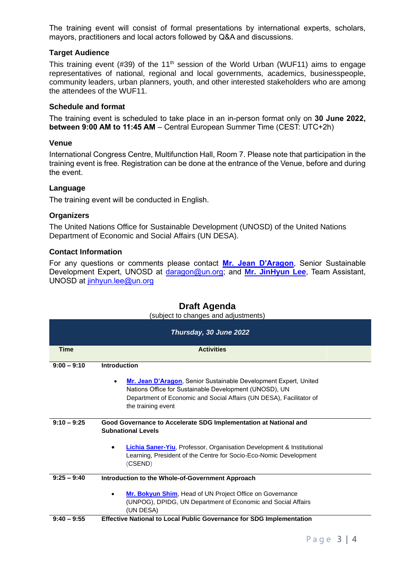The training event will consist of formal presentations by international experts, scholars, mayors, practitioners and local actors followed by Q&A and discussions.

# **Target Audience**

This training event (#39) of the 11<sup>th</sup> session of the World Urban (WUF11) aims to engage representatives of national, regional and local governments, academics, businesspeople, community leaders, urban planners, youth, and other interested stakeholders who are among the attendees of the WUF11.

## **Schedule and format**

The training event is scheduled to take place in an in-person format only on **30 June 2022, between 9:00 AM to 11:45 AM** – Central European Summer Time (CEST: UTC+2h)

#### **Venue**

International Congress Centre, Multifunction Hall, Room 7. Please note that participation in the training event is free. Registration can be done at the entrance of the Venue, before and during the event.

#### **Language**

The training event will be conducted in English.

#### **Organizers**

The United Nations Office for Sustainable Development (UNOSD) of the United Nations Department of Economic and Social Affairs (UN DESA).

#### **Contact Information**

For any questions or comments please contact **[Mr. Jean D'Aragon](https://drive.google.com/file/d/1vFK5KCoXyGsO_Wox6fFxDoO6DPiFt3It/view?usp=sharing)**, Senior Sustainable Development Expert, UNOSD at [daragon@un.org;](mailto:daragon@un.org) and **[Mr. JinHyun Lee](mailto:Mr.%20JinHyun%20Lee)**, Team Assistant, UNOSD at [jinhyun.lee@un.org](mailto:jinhyun.lee@un.org)

## **Draft Agenda**

(subject to changes and adjustments)

|               | Thursday, 30 June 2022                                                                                                                                                                                                               |  |
|---------------|--------------------------------------------------------------------------------------------------------------------------------------------------------------------------------------------------------------------------------------|--|
| <b>Time</b>   | <b>Activities</b>                                                                                                                                                                                                                    |  |
| $9:00 - 9:10$ | <b>Introduction</b>                                                                                                                                                                                                                  |  |
|               | Mr. Jean D'Aragon, Senior Sustainable Development Expert, United<br>$\bullet$<br>Nations Office for Sustainable Development (UNOSD), UN<br>Department of Economic and Social Affairs (UN DESA), Facilitator of<br>the training event |  |
| $9:10 - 9:25$ | Good Governance to Accelerate SDG Implementation at National and<br><b>Subnational Levels</b>                                                                                                                                        |  |
|               | <b>Lichia Saner-Yiu, Professor, Organisation Development &amp; Institutional</b><br>Learning, President of the Centre for Socio-Eco-Nomic Development<br>(CSEND)                                                                     |  |
| $9:25 - 9:40$ | Introduction to the Whole-of-Government Approach                                                                                                                                                                                     |  |
|               | Mr. Bokyun Shim, Head of UN Project Office on Governance<br>(UNPOG), DPIDG, UN Department of Economic and Social Affairs<br>(UN DESA)                                                                                                |  |
| $9:40 - 9:55$ | <b>Effective National to Local Public Governance for SDG Implementation</b>                                                                                                                                                          |  |